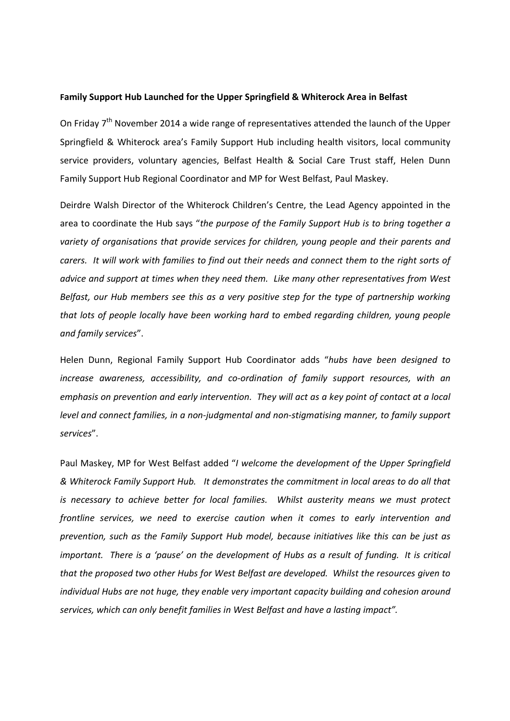## **Family Support Hub Launched for the Upper Springfield & Whiterock Area in Belfast**

On Friday 7<sup>th</sup> November 2014 a wide range of representatives attended the launch of the Upper Springfield & Whiterock area's Family Support Hub including health visitors, local community service providers, voluntary agencies, Belfast Health & Social Care Trust staff, Helen Dunn Family Support Hub Regional Coordinator and MP for West Belfast, Paul Maskey.

Deirdre Walsh Director of the Whiterock Children's Centre, the Lead Agency appointed in the area to coordinate the Hub says "*the purpose of the Family Support Hub is to bring together a variety of organisations that provide services for children, young people and their parents and carers. It will work with families to find out their needs and connect them to the right sorts of advice and support at times when they need them. Like many other representatives from West Belfast, our Hub members see this as a very positive step for the type of partnership working that lots of people locally have been working hard to embed regarding children, young people and family services*".

Helen Dunn, Regional Family Support Hub Coordinator adds "*hubs have been designed to increase awareness, accessibility, and co-ordination of family support resources, with an emphasis on prevention and early intervention. They will act as a key point of contact at a local level and connect families, in a non-judgmental and non-stigmatising manner, to family support services*".

Paul Maskey, MP for West Belfast added "*I welcome the development of the Upper Springfield & Whiterock Family Support Hub. It demonstrates the commitment in local areas to do all that is necessary to achieve better for local families. Whilst austerity means we must protect frontline services, we need to exercise caution when it comes to early intervention and prevention, such as the Family Support Hub model, because initiatives like this can be just as important. There is a 'pause' on the development of Hubs as a result of funding. It is critical that the proposed two other Hubs for West Belfast are developed. Whilst the resources given to individual Hubs are not huge, they enable very important capacity building and cohesion around services, which can only benefit families in West Belfast and have a lasting impact".*